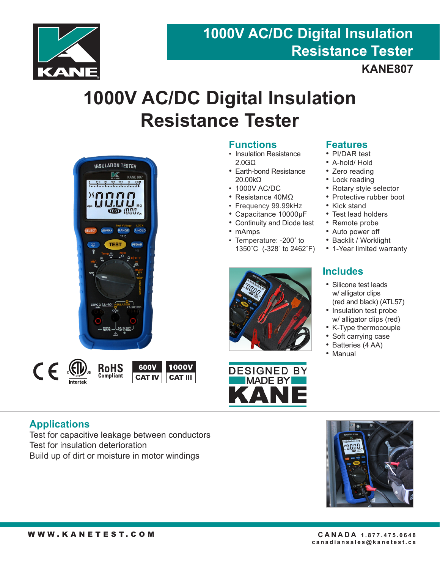

# **1000V AC/DC Digital Insulation Resistance Tester**

# **KANE807**

# **1000V AC/DC Digital Insulation Resistance Tester**





## **Functions**

- Insulation Resistance 2.0GΩ
- Earth-bond Resistance 20.00kΩ
- 1000V AC/DC
- Resistance 40MΩ
- Frequency 99.99kHz
- Capacitance 10000µF
- Continuity and Diode test
- mAmps
- Temperature: -200˚ to 1350˚C (-328˚ to 2462˚F)





### **Features**

- PI/DAR test
- A-hold/ Hold
- Zero reading
- Lock reading
- Rotary style selector
- Protective rubber boot
- Kick stand
- Test lead holders
- Remote probe
- Auto power off
- Backlit / Worklight
- 1-Year limited warranty

## **Includes**

- Silicone test leads w/ alligator clips (red and black) (ATL57)
- Insulation test probe w/ alligator clips (red)
- K-Type thermocouple
- Soft carrying case
- Batteries (4 AA)
- Manual

### **Applications**

Test for capacitive leakage between conductors Test for insulation deterioration Build up of dirt or moisture in motor windings